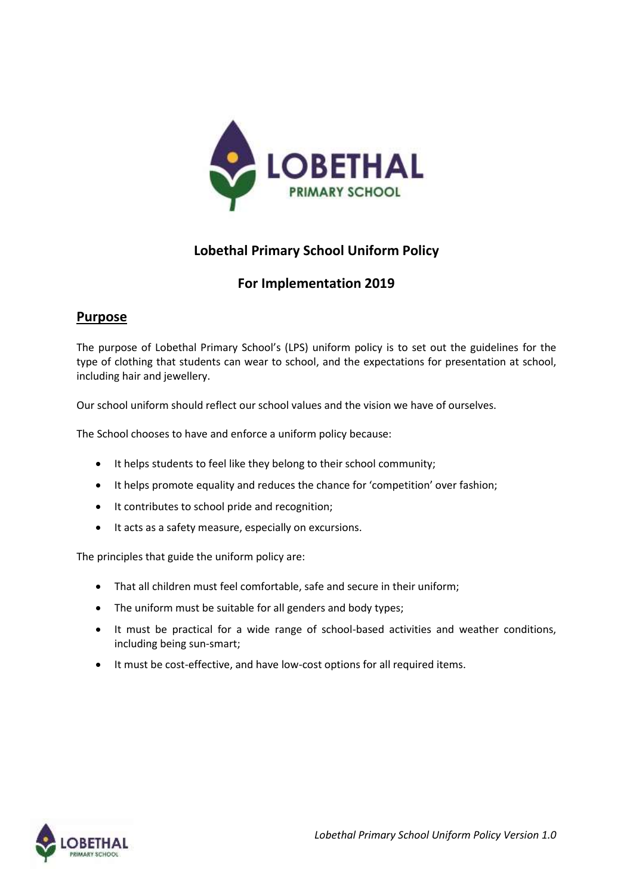

# **Lobethal Primary School Uniform Policy**

# **For Implementation 2019**

## **Purpose**

The purpose of Lobethal Primary School's (LPS) uniform policy is to set out the guidelines for the type of clothing that students can wear to school, and the expectations for presentation at school, including hair and jewellery.

Our school uniform should reflect our school values and the vision we have of ourselves.

The School chooses to have and enforce a uniform policy because:

- It helps students to feel like they belong to their school community;
- It helps promote equality and reduces the chance for 'competition' over fashion;
- It contributes to school pride and recognition;
- It acts as a safety measure, especially on excursions.

The principles that guide the uniform policy are:

- That all children must feel comfortable, safe and secure in their uniform;
- The uniform must be suitable for all genders and body types;
- It must be practical for a wide range of school-based activities and weather conditions, including being sun-smart;
- It must be cost-effective, and have low-cost options for all required items.

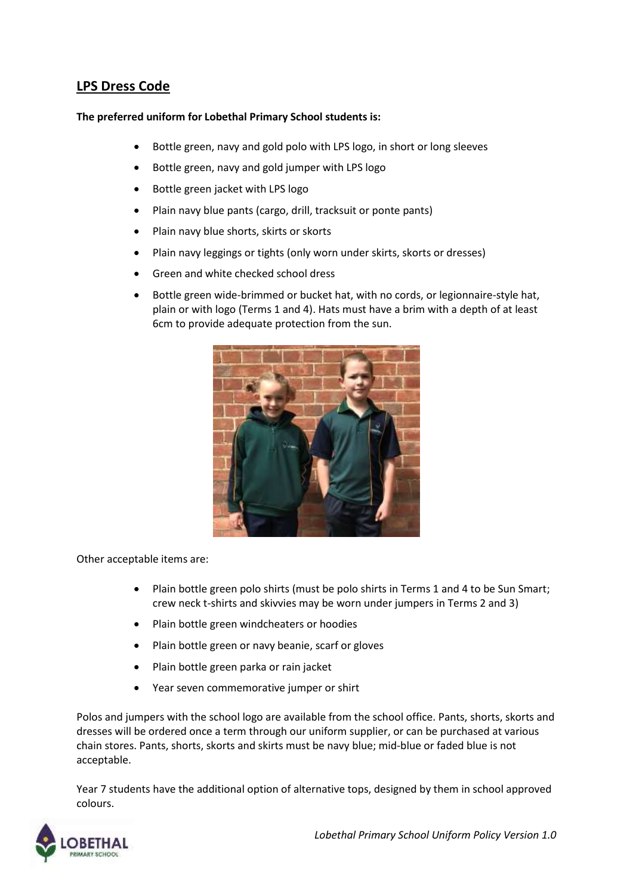# **LPS Dress Code**

#### **The preferred uniform for Lobethal Primary School students is:**

- Bottle green, navy and gold polo with LPS logo, in short or long sleeves
- Bottle green, navy and gold jumper with LPS logo
- Bottle green jacket with LPS logo
- Plain navy blue pants (cargo, drill, tracksuit or ponte pants)
- Plain navy blue shorts, skirts or skorts
- Plain navy leggings or tights (only worn under skirts, skorts or dresses)
- Green and white checked school dress
- Bottle green wide-brimmed or bucket hat, with no cords, or legionnaire-style hat, plain or with logo (Terms 1 and 4). Hats must have a brim with a depth of at least 6cm to provide adequate protection from the sun.



Other acceptable items are:

- Plain bottle green polo shirts (must be polo shirts in Terms 1 and 4 to be Sun Smart; crew neck t-shirts and skivvies may be worn under jumpers in Terms 2 and 3)
- Plain bottle green windcheaters or hoodies
- Plain bottle green or navy beanie, scarf or gloves
- Plain bottle green parka or rain jacket
- Year seven commemorative jumper or shirt

Polos and jumpers with the school logo are available from the school office. Pants, shorts, skorts and dresses will be ordered once a term through our uniform supplier, or can be purchased at various chain stores. Pants, shorts, skorts and skirts must be navy blue; mid-blue or faded blue is not acceptable.

Year 7 students have the additional option of alternative tops, designed by them in school approved colours.

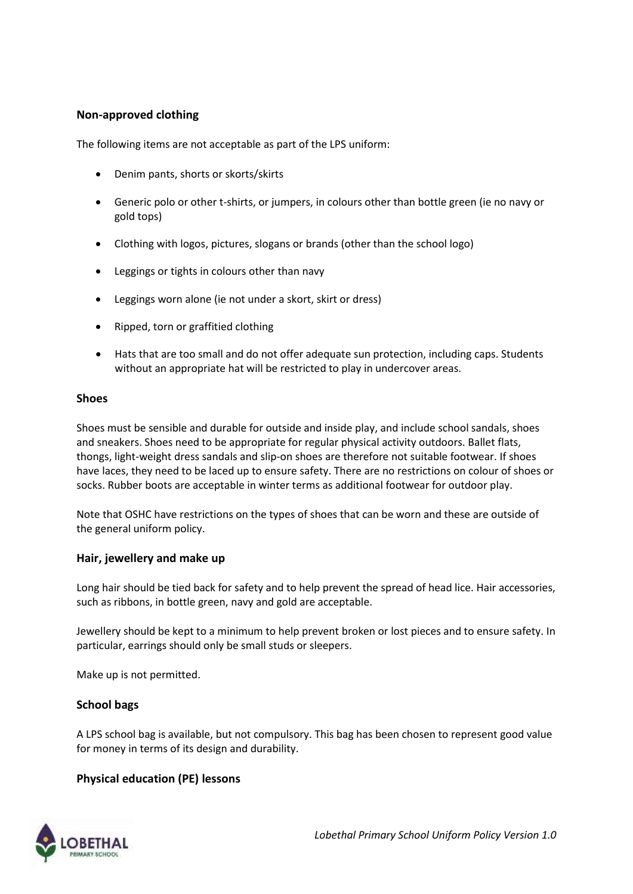## **Non-approved clothing**

The following items are not acceptable as part of the LPS uniform:

- Denim pants, shorts or skorts/skirts
- Generic polo or other t-shirts, or jumpers, in colours other than bottle green (ie no navy or gold tops)
- Clothing with logos, pictures, slogans or brands (other than the school logo)
- Leggings or tights in colours other than navy
- Leggings worn alone (ie not under a skort, skirt or dress)
- Ripped, torn or graffitied clothing
- Hats that are too small and do not offer adequate sun protection, including caps. Students without an appropriate hat will be restricted to play in undercover areas.

#### **Shoes**

Shoes must be sensible and durable for outside and inside play, and include school sandals, shoes and sneakers. Shoes need to be appropriate for regular physical activity outdoors. Ballet flats, thongs, light-weight dress sandals and slip-on shoes are therefore not suitable footwear. If shoes have laces, they need to be laced up to ensure safety. There are no restrictions on colour of shoes or socks. Rubber boots are acceptable in winter terms as additional footwear for outdoor play.

Note that OSHC have restrictions on the types of shoes that can be worn and these are outside of the general uniform policy.

#### **Hair, jewellery and make up**

Long hair should be tied back for safety and to help prevent the spread of head lice. Hair accessories, such as ribbons, in bottle green, navy and gold are acceptable.

Jewellery should be kept to a minimum to help prevent broken or lost pieces and to ensure safety. In particular, earrings should only be small studs or sleepers.

Make up is not permitted.

#### **School bags**

A LPS school bag is available, but not compulsory. This bag has been chosen to represent good value for money in terms of its design and durability.

### **Physical education (PE) lessons**

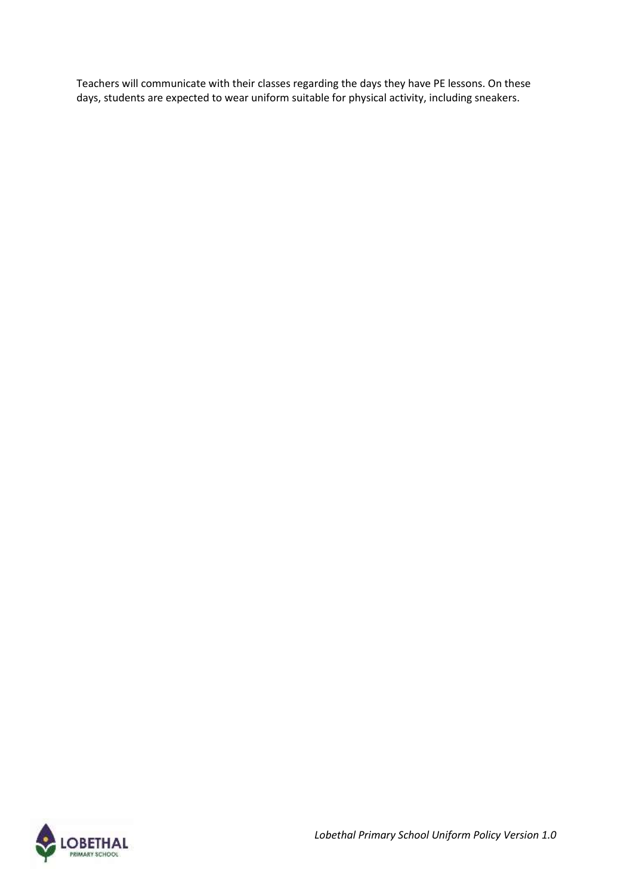Teachers will communicate with their classes regarding the days they have PE lessons. On these days, students are expected to wear uniform suitable for physical activity, including sneakers.

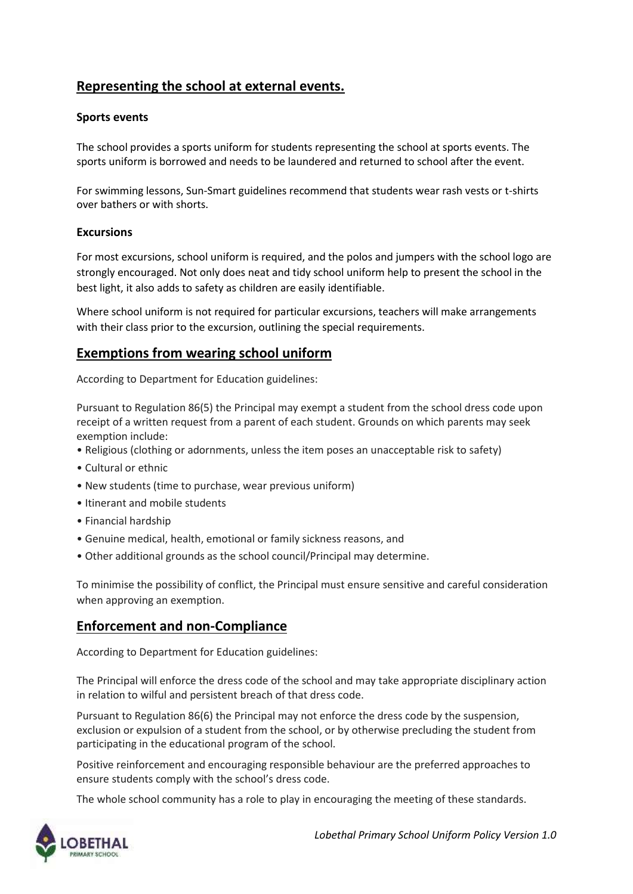# **Representing the school at external events.**

### **Sports events**

The school provides a sports uniform for students representing the school at sports events. The sports uniform is borrowed and needs to be laundered and returned to school after the event.

For swimming lessons, Sun-Smart guidelines recommend that students wear rash vests or t-shirts over bathers or with shorts.

### **Excursions**

For most excursions, school uniform is required, and the polos and jumpers with the school logo are strongly encouraged. Not only does neat and tidy school uniform help to present the school in the best light, it also adds to safety as children are easily identifiable.

Where school uniform is not required for particular excursions, teachers will make arrangements with their class prior to the excursion, outlining the special requirements.

## **Exemptions from wearing school uniform**

According to Department for Education guidelines:

Pursuant to Regulation 86(5) the Principal may exempt a student from the school dress code upon receipt of a written request from a parent of each student. Grounds on which parents may seek exemption include:

- Religious (clothing or adornments, unless the item poses an unacceptable risk to safety)
- Cultural or ethnic
- New students (time to purchase, wear previous uniform)
- Itinerant and mobile students
- Financial hardship
- Genuine medical, health, emotional or family sickness reasons, and
- Other additional grounds as the school council/Principal may determine.

To minimise the possibility of conflict, the Principal must ensure sensitive and careful consideration when approving an exemption.

## **Enforcement and non-Compliance**

According to Department for Education guidelines:

The Principal will enforce the dress code of the school and may take appropriate disciplinary action in relation to wilful and persistent breach of that dress code.

Pursuant to Regulation 86(6) the Principal may not enforce the dress code by the suspension, exclusion or expulsion of a student from the school, or by otherwise precluding the student from participating in the educational program of the school.

Positive reinforcement and encouraging responsible behaviour are the preferred approaches to ensure students comply with the school's dress code.

The whole school community has a role to play in encouraging the meeting of these standards.